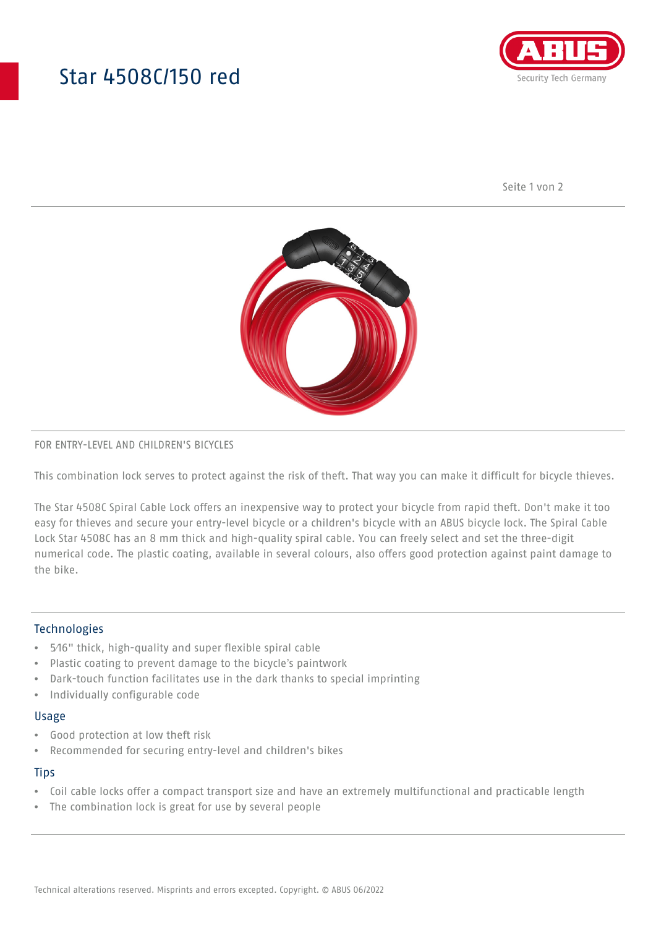## Star 4508C/150 red



Seite 1 von 2



## FOR ENTRY-LEVEL AND CHILDREN'S BICYCLES

This combination lock serves to protect against the risk of theft. That way you can make it difficult for bicycle thieves.

The Star 4508C Spiral Cable Lock offers an inexpensive way to protect your bicycle from rapid theft. Don't make it too easy for thieves and secure your entry-level bicycle or a children's bicycle with an ABUS bicycle lock. The Spiral Cable Lock Star 4508C has an 8 mm thick and high-quality spiral cable. You can freely select and set the three-digit numerical code. The plastic coating, available in several colours, also offers good protection against paint damage to the bike.

## Technologies

- 5⁄16" thick, high-quality and super flexible spiral cable
- Plastic coating to prevent damage to the bicycle's paintwork
- Dark-touch function facilitates use in the dark thanks to special imprinting
- Individually configurable code

#### Usage

- Good protection at low theft risk
- Recommended for securing entry-level and children's bikes

### **Tips**

- Coil cable locks offer a compact transport size and have an extremely multifunctional and practicable length
- The combination lock is great for use by several people